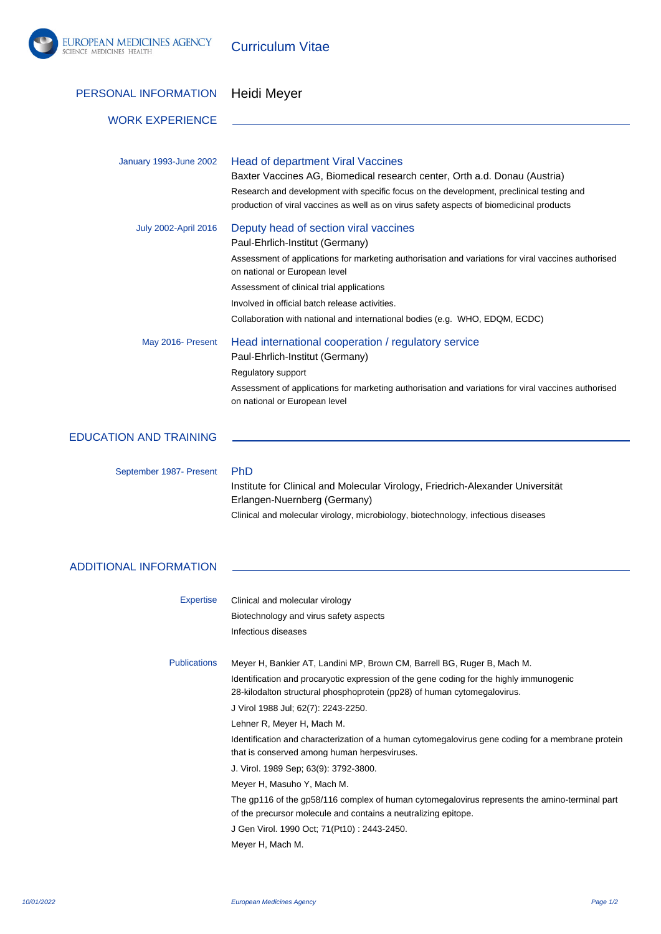

Curriculum Vitae

| PERSONAL INFORMATION          | Heidi Meyer                                                                                                                                                                                                                                                                                                                                                                                                                                                                                                                                                                                                                                                                                                                                                                           |
|-------------------------------|---------------------------------------------------------------------------------------------------------------------------------------------------------------------------------------------------------------------------------------------------------------------------------------------------------------------------------------------------------------------------------------------------------------------------------------------------------------------------------------------------------------------------------------------------------------------------------------------------------------------------------------------------------------------------------------------------------------------------------------------------------------------------------------|
| <b>WORK EXPERIENCE</b>        |                                                                                                                                                                                                                                                                                                                                                                                                                                                                                                                                                                                                                                                                                                                                                                                       |
| January 1993-June 2002        | <b>Head of department Viral Vaccines</b><br>Baxter Vaccines AG, Biomedical research center, Orth a.d. Donau (Austria)<br>Research and development with specific focus on the development, preclinical testing and<br>production of viral vaccines as well as on virus safety aspects of biomedicinal products                                                                                                                                                                                                                                                                                                                                                                                                                                                                         |
| <b>July 2002-April 2016</b>   | Deputy head of section viral vaccines<br>Paul-Ehrlich-Institut (Germany)<br>Assessment of applications for marketing authorisation and variations for viral vaccines authorised<br>on national or European level<br>Assessment of clinical trial applications<br>Involved in official batch release activities.<br>Collaboration with national and international bodies (e.g. WHO, EDQM, ECDC)                                                                                                                                                                                                                                                                                                                                                                                        |
| May 2016- Present             | Head international cooperation / regulatory service<br>Paul-Ehrlich-Institut (Germany)<br>Regulatory support<br>Assessment of applications for marketing authorisation and variations for viral vaccines authorised<br>on national or European level                                                                                                                                                                                                                                                                                                                                                                                                                                                                                                                                  |
| <b>EDUCATION AND TRAINING</b> |                                                                                                                                                                                                                                                                                                                                                                                                                                                                                                                                                                                                                                                                                                                                                                                       |
| September 1987- Present       | PhD<br>Institute for Clinical and Molecular Virology, Friedrich-Alexander Universität<br>Erlangen-Nuernberg (Germany)<br>Clinical and molecular virology, microbiology, biotechnology, infectious diseases                                                                                                                                                                                                                                                                                                                                                                                                                                                                                                                                                                            |
| <b>ADDITIONAL INFORMATION</b> |                                                                                                                                                                                                                                                                                                                                                                                                                                                                                                                                                                                                                                                                                                                                                                                       |
| <b>Expertise</b>              | Clinical and molecular virology<br>Biotechnology and virus safety aspects<br>Infectious diseases                                                                                                                                                                                                                                                                                                                                                                                                                                                                                                                                                                                                                                                                                      |
| <b>Publications</b>           | Meyer H, Bankier AT, Landini MP, Brown CM, Barrell BG, Ruger B, Mach M.<br>Identification and procaryotic expression of the gene coding for the highly immunogenic<br>28-kilodalton structural phosphoprotein (pp28) of human cytomegalovirus.<br>J Virol 1988 Jul; 62(7): 2243-2250.<br>Lehner R, Meyer H, Mach M.<br>Identification and characterization of a human cytomegalovirus gene coding for a membrane protein<br>that is conserved among human herpesviruses.<br>J. Virol. 1989 Sep; 63(9): 3792-3800.<br>Meyer H, Masuho Y, Mach M.<br>The gp116 of the gp58/116 complex of human cytomegalovirus represents the amino-terminal part<br>of the precursor molecule and contains a neutralizing epitope.<br>J Gen Virol. 1990 Oct; 71(Pt10): 2443-2450.<br>Meyer H, Mach M. |